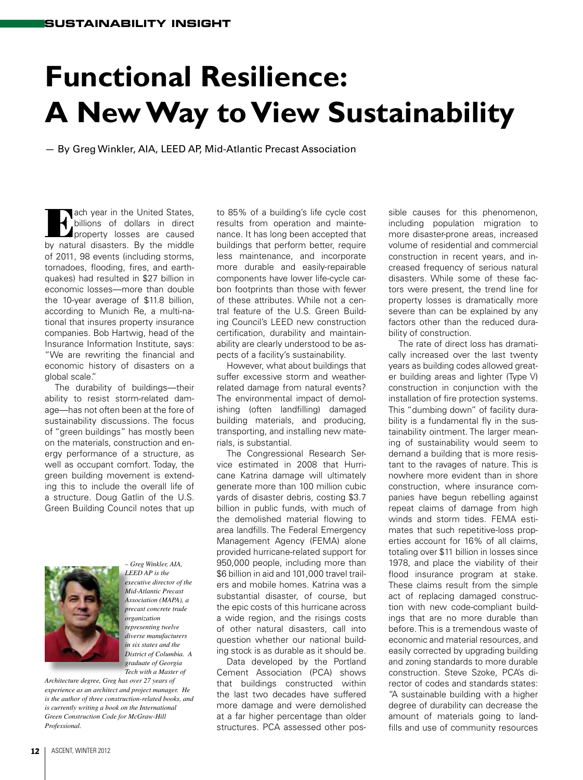## **Functional Resilience: A New Way to View Sustainability**

— By Greg Winkler, AIA, LEED AP, Mid-Atlantic Precast Association

**Tach year in the United States,** billions of dollars in direct **A** property losses are caused by natural disasters. By the middle of 2011, 98 events (including storms, tornadoes, flooding, fires, and earthquakes) had resulted in \$27 billion in economic losses—more than double the 10-year average of \$11.8 billion, according to Munich Re, a multi-national that insures property insurance companies. Bob Hartwig, head of the Insurance Information Institute, says: "We are rewriting the financial and economic history of disasters on a global scale."

The durability of buildings—their ability to resist storm-related damage—has not often been at the fore of sustainability discussions. The focus of "green buildings" has mostly been on the materials, construction and energy performance of a structure, as well as occupant comfort. Today, the green building movement is extending this to include the overall life of a structure. Doug Gatlin of the U.S. Green Building Council notes that up



*– Greg Winkler, AIA, LEED AP is the executive director of the Mid-Atlantic Precast Association (MAPA), a precast concrete trade organization representing twelve diverse manufacturers in six states and the District of Columbia. A graduate of Georgia Tech with a Master of* 

*Architecture degree, Greg has over 27 years of experience as an architect and project manager. He is the author of three construction-related books, and is currently writing a book on the International Green Construction Code for McGraw-Hill Professional.*

to 85% of a building's life cycle cost results from operation and maintenance. It has long been accepted that buildings that perform better, require less maintenance, and incorporate more durable and easily-repairable components have lower life-cycle carbon footprints than those with fewer of these attributes. While not a central feature of the U.S. Green Building Council's LEED new construction certification, durability and maintainability are clearly understood to be aspects of a facility's sustainability.

However, what about buildings that suffer excessive storm and weatherrelated damage from natural events? The environmental impact of demolishing (often landfilling) damaged building materials, and producing, transporting, and installing new materials, is substantial.

The Congressional Research Service estimated in 2008 that Hurricane Katrina damage will ultimately generate more than 100 million cubic yards of disaster debris, costing \$3.7 billion in public funds, with much of the demolished material flowing to area landfills. The Federal Emergency Management Agency (FEMA) alone provided hurricane-related support for 950,000 people, including more than \$6 billion in aid and 101,000 travel trailers and mobile homes. Katrina was a substantial disaster, of course, but the epic costs of this hurricane across a wide region, and the risings costs of other natural disasters, call into question whether our national building stock is as durable as it should be.

Data developed by the Portland Cement Association (PCA) shows that buildings constructed within the last two decades have suffered more damage and were demolished at a far higher percentage than older structures. PCA assessed other possible causes for this phenomenon, including population migration to more disaster-prone areas, increased volume of residential and commercial construction in recent years, and increased frequency of serious natural disasters. While some of these factors were present, the trend line for property losses is dramatically more severe than can be explained by any factors other than the reduced durability of construction.

The rate of direct loss has dramatically increased over the last twenty years as building codes allowed greater building areas and lighter (Type V) construction in conjunction with the installation of fire protection systems. This "dumbing down" of facility durability is a fundamental fly in the sustainability ointment. The larger meaning of sustainability would seem to demand a building that is more resistant to the ravages of nature. This is nowhere more evident than in shore construction, where insurance companies have begun rebelling against repeat claims of damage from high winds and storm tides. FEMA estimates that such repetitive-loss properties account for 16% of all claims, totaling over \$11 billion in losses since 1978, and place the viability of their flood insurance program at stake. These claims result from the simple act of replacing damaged construction with new code-compliant buildings that are no more durable than before. This is a tremendous waste of economic and material resources, and easily corrected by upgrading building and zoning standards to more durable construction. Steve Szoke, PCA's director of codes and standards states: "A sustainable building with a higher degree of durability can decrease the amount of materials going to landfills and use of community resources